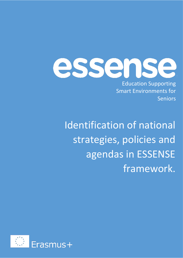essense

Education Supporting Smart Environments for Seniors

Identification of national strategies, policies and agendas in ESSENSE framework.

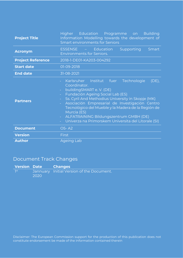| <b>Project Title</b>     | Higher Education Programme on<br><b>Building</b><br>Information Modelling towards the development of<br><b>Smart environments for Seniors</b>                                                                                                                                                                                                                                                                                                                                                                                |  |  |  |
|--------------------------|------------------------------------------------------------------------------------------------------------------------------------------------------------------------------------------------------------------------------------------------------------------------------------------------------------------------------------------------------------------------------------------------------------------------------------------------------------------------------------------------------------------------------|--|--|--|
| <b>Acronym</b>           | <b>ESSENSE</b><br><b>Education</b><br>Supporting<br>Smart<br><b>Environments for Seniors.</b>                                                                                                                                                                                                                                                                                                                                                                                                                                |  |  |  |
| <b>Project Reference</b> | 2018-1-DE01-KA203-004292                                                                                                                                                                                                                                                                                                                                                                                                                                                                                                     |  |  |  |
| <b>Start date</b>        | 01-09-2018                                                                                                                                                                                                                                                                                                                                                                                                                                                                                                                   |  |  |  |
| <b>End date</b>          | 31-08-2021                                                                                                                                                                                                                                                                                                                                                                                                                                                                                                                   |  |  |  |
| <b>Partners</b>          | Karlsruher Institut fuer<br>Technologie<br>$(DE)$ ,<br>Coordinator.<br>buildingSMART e.V. (DE)<br>$\omega_{\rm{eff}}$<br>Fundación Ageing Social Lab (ES)<br>$\omega_{\rm{eff}}$<br>Ss. Cyril And Methodius University in Skopje (MK)<br>$\omega_{\rm{eff}}$<br>Asociación Empresarial de Investigación Centro<br>$\omega_{\rm c}$<br>Tecnológico del Mueble y la Madera de la Región de<br>Murcia (ES)<br>ALFATRAINING Bildungszentrum GMBH (DE)<br>$\omega_{\rm c}$<br>Univerza na Primorskem Universita del Litorale (SI) |  |  |  |
| <b>Document</b>          | O5-A2                                                                                                                                                                                                                                                                                                                                                                                                                                                                                                                        |  |  |  |
| <b>Version</b>           | <b>First</b>                                                                                                                                                                                                                                                                                                                                                                                                                                                                                                                 |  |  |  |
| <b>Author</b>            | <b>Ageing Lab</b>                                                                                                                                                                                                                                                                                                                                                                                                                                                                                                            |  |  |  |

# Document Track Changes

|       | <b>Version Date Changes</b> |                                           |
|-------|-----------------------------|-------------------------------------------|
| ∣ ¶st | 2020                        | Jannuary Initial Version of the Document. |

Disclaimer: The European Commission support for the production of this publication does not constitute endorsement be made of the information contained therein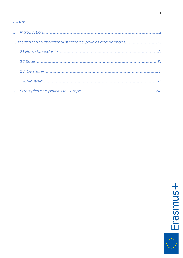# Index

<span id="page-2-0"></span>

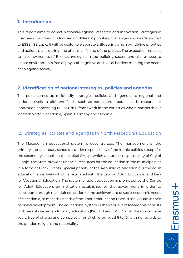### **1. Introduction.**

This report aims to collect National/Regional Research and Innovation Strategies in European countries. It is focused on different priorities, challenges and needs aligned to ESSENSE topic. It will be useful to elaborate a Blueprint which will define priorities and actions plans during and after the lifelong of the project. The expected impact is to raise awareness of BIM technologies in the building sector, and also a need to create environments free of physical, cognitive and social barriers meeting the needs of an ageing society.

### **2. Identification of national strategies, policies and agendas.**

This point comes up to identify strategies, policies and agendas at regional and national levels in different fields, such as education, labour, health, research or innovation concerning to ESSENSE framework in the countries where partnership is located: North Macedonia, Spain, Germany and Slovenia.

### 2.1 Strategies, policies and agendas in North Macedonia Education

The Macedonian educational system is decentralized. The management of the primary and secondary schools is under responsibility of the municipalities, except for the secondary schools in the capital Skopje which are under responsibility of City of Skopje. The State provides financial resources for the education in the municipalities in a form of Block Grants. Special priority of the Republic of Macedonia is the adult education, an activity which is regulated with the Law on Adult Education and Law for Vocational Education. The system of adult education is promoted by the Centre for Adult Education, an institution established by the government in order to contribute through the adult education to the achievement of socio-economic needs of Macedonia, to meet the needs of the labour market and to assist individuals in their personal development. The educational system in the Republic of Macedonia consists of three sub-systems: · Primary education (ISCED 1 and ISCED 2): in duration of nine years, free of charge and compulsory for all children aged 6 to 15, with no regards to the gender, religion and nationality.

2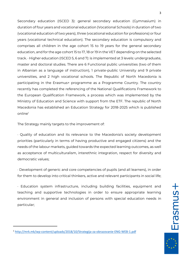Secondary education (ISCED 3): general secondary education (Gymnasium) in duration of four years and vocational education (Vocational Schools) in duration of two (vocational education of two years), three (vocational education for professions) or four years (vocational technical education). The secondary education is compulsory and comprises all children in the age cohort 15 to 19 years for the general secondary education, and for the age cohort 15 to 17, 18 or 19 in the VET depending on the selected track. · Higher education (ISCED 5, 6 and 7): is implemented at 3 levels: undergraduate, master and doctoral studies. There are 6 Functional public universities (two of them in Albanian as a language of instruction), 1 private-public University and 9 private universities, and 2 high vocational schools. The Republic of North Macedonia is participating in the Erasmus+ programme as a Programme Country. The country recently has completed the referencing of the National Qualifications Framework to the European Qualification Framework, a process which was implemented by the Ministry of Education and Science with support from the ETF. The republic of North Macedonia has established an Education Strategy for 2018-2025 which is published online<sup>1</sup>

The Strategy mainly targets to the improvement of:

· Quality of education and its relevance to the Macedonia's society development priorities (particularly in terms of having productive and engaged citizens) and the needs of the labour markets, guided towards the expected learning outcomes, as well as acceptance of multiculturalism, interethnic integration, respect for diversity and democratic values;

· Development of generic and core competencies of pupils (and all learners), in order for them to develop into critical thinkers, active and relevant participants in social life;

· Education system infrastructure, including building facilities, equipment and teaching and supportive technologies in order to ensure appropriate learning environment in general and inclusion of persons with special education needs in particular;

<sup>1</sup> <http://mrk.mk/wp-content/uploads/2018/10/Strategija-za-obrazovanie-ENG-WEB-1.pdf>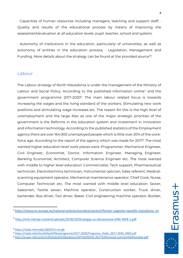· Capacities of human resources including managers, teaching and support staff; · Quality and results of the educational process by means of improving the assessment/evaluation at all education levels: pupil, teacher, school and system;

· Autonomy of institutions in the education, particularly of universities, as well as autonomy of entities in the education process; · Legislation, Management and Funding. More details about the strategy can be found at the provided source<sup>23</sup>.

### Labour

The Labour strategy of North Macedonia is under the management of the Ministry of Labour and Social Policy. According to the published information online<sup>4</sup> and the government programme 2017-2020<sup>5</sup>: The main labour related focus is towards increasing the wages and the living standard of the workers. Stimulating new work positions and stimulating wage increases etc. The reason for this is the high level of unemployment and the large Also as one of the major strategic priorities of the government is the Reforms in the education system and investment in innovation and information technology. According to the published statistics of the Employment agency there are over 164.000 unemployed people which is little over 20% of the workforce age. According to the report of the agency which was made for 2017<sup>6</sup>: The most wanted higher education level work places were: Programmer, Mechanical Engineer, Civil Engineer, Economist, Doctor, Information Engineer, Managing Engineer, Banking Economist, Architect, Computer Science Engineer etc. The most wanted with middle to higher level education: Commercialist, Tech support, Pharmaceutical technician, Electrotechnics technician, Instrumental optician, Sales referent, Medicalscanning equipment operator, Mechanical maintenance operator, Chief Cook, Nurse, Computer Technician etc. The most wanted with middle level education: Sewer, Salesmen, Textile sewer, Machine operator, Construction worker, Truck driver, bartender, Bus driver, Taxi driver, Baker, Civil engineering machine operator, Builder,

<sup>&</sup>lt;sup>2</sup> [https://eacea.ec.europa.eu/national-policies/eurydice/content/former-yugoslav-republic-macedonia\\_en](https://eacea.ec.europa.eu/national-policies/eurydice/content/former-yugoslav-republic-macedonia_en)

<sup>3</sup> <http://mrk.mk/wp-content/uploads/2018/10/Strategija-za-obrazovanie-ENG-WEB-1.pdf>

<sup>4</sup> [https://vlada.mk/node/18029?ln=en-gb](https://vlada.mk/node/18029?ln=en-gb%20)

<sup>5</sup> [https://vlada.mk/sites/default/files/programa/2017-2020/Programa\\_Vlada\\_2017-2020\\_MKD.pdf](https://vlada.mk/sites/default/files/programa/2017-2020/Programa_Vlada_2017-2020_MKD.pdf)

<sup>6</sup> <http://av.gov.mk/content/Statisticki%20podatoci/APV%202016-2017%20izvestaj-sumirani%20rezultati.pdf>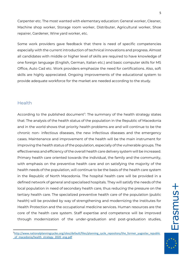Carpenter etc. The most wanted with elementary education: General worker, Cleaner, Machine shop worker, Storage room worker, Distributer, Agricultural worker, Shoe repairer, Gardener, Wine yard worker, etc.

Some work providers gave feedback that there is need of specific competencies especially with the current introduction of technical innovations and progress. Almost all candidates with middle or higher level of skills are required to have knowledge of one foreign language (English, German, Italian etc.) and basic computer skills for MS Office, Auto Cad etc. Work providers emphasize the need for certifications. Also, soft skills are highly appreciated. Ongoing improvements of the educational system to provide adequate workforce for the market are needed according to the study.

### Health

According to the published document<sup>7</sup>: The summary of the health strategy states that: The analysis of the health status of the population in the Republic of Macedonia and in the world shows that priority health problems are and will continue to be the chronic non- infectious diseases, the new infectious diseases and the emergency cases. Maintenance and improvement of the health will be the main instrument for improving the health status of the population, especially of the vulnerable groups. The effectiveness and efficiency of the overall health care delivery system will be increased. Primary health care oriented towards the individual, the family and the community, with emphasis on the preventive health care and on satisfying the majority of the health needs of the population, will continue to be the basis of the health care system in the Republic of North Macedonia. The hospital health care will be provided in a defined network of general and specialised hospitals. They will satisfy the needs of the local population in need of secondary health care, thus reducing the pressure on the tertiary health care. The specialized preventive health care of the population (public health) will be provided by way of strengthening and modernizing the Institutes for Health Protection and the occupational medicine services. Human resources are the core of the health care system. Staff expertise and competence will be improved through modernization of the under-graduation and post-graduation studies,

Erasmus+

<sup>7</sup>[http://www.nationalplanningcycles.org/sites/default/files/planning\\_cycle\\_repository/the\\_former\\_yugoslav\\_republic](http://www.nationalplanningcycles.org/sites/default/files/planning_cycle_repository/the_former_yugoslav_republic_of_macedonia/health_strategy_2020_eng.pdf) of macedonia/health strategy 2020 eng.pdf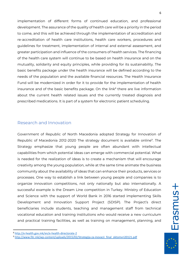implementation of different forms of continued education, and professional development. The assurance of the quality of health care will be a priority in the period to come, and this will be achieved through the implementation of accreditation and re-accreditation of health care institutions, health care workers, procedures and guidelines for treatment, implementation of internal and external assessment, and greater participation and influence of the consumers of health services. The financing of the health care system will continue to be based on health insurance and on the mutuality, solidarity and equity principles, while providing for its sustainability. The basic benefits package under the health insurance will be defined according to the needs of the population and the available financial resources. The Health Insurance Fund will be modernized in order for it to provide for the implementation of health insurance and of the basic benefits package. On the link<sup>8</sup> there are live information about the current health related issues and the currently treated diagnosis and prescribed medications. It is part of a system for electronic patient scheduling.

### Research and Innovation

Government of Republic of North Macedonia adopted Strategy for Innovation of Republic of Macedonia 2012-2020 The strategy document is available online<sup>9</sup>. The Strategy emphasize that young people are often abundant with intellectual capabilities from which potential ideas can emerge with commercial potential. What is needed for the realization of ideas is to create a mechanism that will encourage creativity among the young population, while at the same time animate the business community about the availability of ideas that can enhance their products, services or processes. One way to establish a link between young people and companies is to organize innovation competitions, not only nationally but also internationally. A successful example is the Dream Line competition in Turkey. Ministry of Education and Science with the support of World Bank in 2016 started implementing Skills Development and Innovation Support Project (SDISP). The Project's direct beneficiaries include students, teaching and management staff from technical vocational education and training institutions who would receive a new curriculum and practical training facilities, as well as training on management, planning, and

<sup>8</sup> <http://e-health.gov.mk/en/e-health-directorate-2>

<sup>9</sup> [http://www.fitr.mk/wp-content/uploads/2015/02/Strategija-za-inovacii\\_final\\_oktomvri20121.pdf](http://www.fitr.mk/wp-content/uploads/2015/02/Strategija-za-inovacii_final_oktomvri20121.pdf)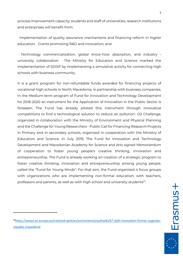process improvement capacity; students and staff of universities, research institutions and enterprises will benefit from:

· Implementation of quality assurance mechanisms and financing reform in higher education; · Grants promoting R&D and innovation; and

· Technology commercialization, global know-how absorption, and industry university collaboration · The Ministry for Education and Science marked the implementation of SDISP by implementing a simulative activity for connecting high schools with business community.

It is a grant program for non-refundable funds awarded for financing projects of vocational high schools in North Macedonia, in partnership with business companies. In the Medium-term program of Fund for Innovation and Technology Development for 2018-2020 an Instrument for the Application of Innovation in the Public Sector is foreseen. The Fund has already piloted this instrument through innovative competitions to find a technological solution to reduce air pollution- O2 Challenge, organized in collaboration with the Ministry of Environment and Physical Planning and the Challenge for Young Researchers - Public Call for Financing Research Projects in Primary and in secondary schools, organized in cooperation with the Ministry of Education and Science. In July 2019, The Fund for Innovation and Technology Development and Macedonian Academy for Science and Arts signed Memorandum of cooperation to foster young people's creative thinking, innovation and entrepreneurship. The Fund is already working on creation of a strategic program to foster creative thinking, innovation and entrepreneurship among young people, called the "Fund for Young Minds". For that aim, the Fund organized 4 focus groups with organizations who are implementing non-formal education, with teachers, professors and parents, as well as with high school and university students<sup>10</sup>.

<sup>10</sup>[https://eacea.ec.europa.eu/national-policies/en/content/youthwiki/67-skills-innovation-former-yugoslav](https://eacea.ec.europa.eu/national-policies/en/content/youthwiki/67-skills-innovation-former-yugoslav-republic-macedonia)[republic-macedonia](https://eacea.ec.europa.eu/national-policies/en/content/youthwiki/67-skills-innovation-former-yugoslav-republic-macedonia)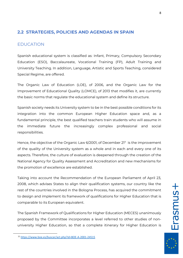# **2.2 STRATEGIES, POLICIES AND AGENDAS IN SPAIN**

### EDUCATION

Spanish educational system is classified as: Infant, Primary, Compulsory Secondary Education (ESO), Baccalaureate, Vocational Training (FP), Adult Training and University Teaching. In addition, Language, Artistic and Sports Teaching, considered Special Regime, are offered.

The Organic Law of Education (LOE), of 2006, and the Organic Law for the Improvement of Educational Quality (LOMCE), of 2013 that modifies it, are currently the basic norms that regulate the educational system and define its structure.

Spanish society needs its University system to be in the best possible conditions for its integration into the common European Higher Education space and, as a fundamental principle, the best qualified teachers train students who will assume in the immediate future the increasingly complex professional and social responsibilities.

Hence, the objective of the Organic Law 6/2001, of December  $21<sup>n</sup>$  is the improvement of the quality of the University system as a whole and in each and every one of its aspects. Therefore, the culture of evaluation is deepened through the creation of the National Agency for Quality Assessment and Accreditation and new mechanisms for the promotion of excellence are established.

Taking into account the Recommendation of the European Parliament of April 23, 2008, which advises States to align their qualification systems, our country like the rest of the countries involved in the Bologna Process, has acquired the commitment to design and implement its framework of qualifications for Higher Education that is comparable to its European equivalent.

The Spanish Framework of Qualifications for Higher Education (MECES) unanimously proposed by the Committee incorporates a level referred to other studies of nonuniversity Higher Education, so that a complete itinerary for Higher Education is

<sup>11</sup> <https://www.boe.es/buscar/act.php?id=BOE-A-2001-24515>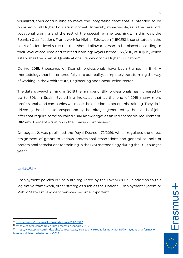visualized, thus contributing to make the integrating facet that is intended to be provided to all Higher Education, not yet University, more visible, as is the case with vocational training and the rest of the special regime teachings. In this way, the Spanish Qualifications Framework for Higher Education (MECES) is constituted on the basis of a four-level structure that should allow a person to be placed according to their level of acquired and certified learning: Royal Decree 1027/2011, of July 15, which establishes the Spanish Qualifications Framework for Higher Education $^{12}$ .

During 2018, thousands of Spanish professionals have been trained in BIM. A methodology that has entered fully into our reality, completely transforming the way of working in the Architecture, Engineering and Construction sector.

The data is overwhelming: in 2018 the number of BIM professionals has increased by up to 50% in Spain. Everything indicates that at the end of 2019 many more professionals and companies will make the decision to bet on this training. They do it driven by the desire to prosper and by the mirages generated by thousands of jobs offer that require some so-called "BIM knowledge" as an indispensable requirement.  $BH$  employment situation in the Spanish companies $13$ 

On august 2, was published the Royal Decree 472/2019, which regulates the direct assignment of grants to various professional associations and general councils of professional associations for training in the BIM methodology during the 2019 budget year.<sup>14</sup>

## LABOUR

Employment policies in Spain are regulated by the Law 56/2003, in addition to this legislative framework, other strategies such as the National Employment System or Public State Employment Services become important.

<sup>12</sup> <https://boe.es/buscar/act.php?id=BOE-A-2011-13317>

<sup>13</sup> <https://editeca.com/empleo-bim-empresa-espanola-2018/>

<sup>14</sup> [https://www.cscae.com/index.php/conoce-cscae/area-tecnica/todas-las-noticias43/5794-ayudas-a-la-formacion](https://www.cscae.com/index.php/conoce-cscae/area-tecnica/todas-las-noticias43/5794-ayudas-a-la-formacion-bim-del-ministerio-de-fomento-2019)[bim-del-ministerio-de-fomento-2019](https://www.cscae.com/index.php/conoce-cscae/area-tecnica/todas-las-noticias43/5794-ayudas-a-la-formacion-bim-del-ministerio-de-fomento-2019)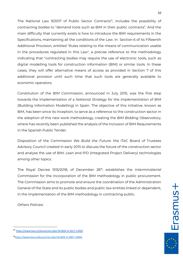The National Law 9/2017 of Public Sector Contracts<sup>15</sup>, includes the possibility of contracting bodies to "demand tools such as BIM in their public contracts". And the main difficulty that currently exists is how to introduce the BIM requirements in the Specifications, maintaining all the conditions of the Law. In Section 6 of its Fifteenth Additional Provision, entitled "Rules relating to the means of communication usable in the procedures regulated in this Law", a precise reference to the methodology indicating that "contracting bodies may require the use of electronic tools, such as digital modelling tools for construction information (BIM) or similar tools. In these cases, they will offer alternative means of access as provided in Section 7 of this additional provision until such time that such tools are generally available to economic operators.

Constitution of the *BIM Commission*, announced in July 2015, was the first step towards the implementation of a *National Strategy for the Implementation of BIM* (Building Information Modelling) in Spain. The objective of this initiative, known as BIM, has been since its inception, to serve as a reference to the construction sector in the adoption of this new work methodology, creating the *BIM Bidding Observatory*, where has recently been published the analysis of the Inclusion of BIM Requirements in the Spanish Public Tender.

Disposition of the Commission *We Build the Future*: the ITeC Board of Trustees Advisory Council created in early 2015 to discuss the future of the construction sector and analyse the use of BIM, Lean and IPD (Integrated Project Delivery) technologies among other topics.

The Royal Decree 1515/2018, of December 28<sup>16</sup> , establishes the *Interministerial Commission* for the incorporation of the BIM methodology in public procurement. The Commission aims to promote and ensure the coordination of the Administration General of the State and its public bodies and public law entities linked or dependent, in the implementation of the BIM methodology in contracting public.

*Others Policies:*

<sup>15</sup> https://www.boe.es/buscar/act.php?id=BOE-A-2017-12902

<sup>16</sup><https://www.boe.es/buscar/act.php?id=BOE-A-2007-19966>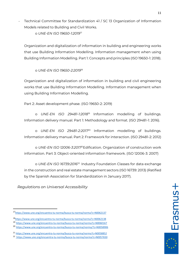Technical Committee for Standardization 41 / SC 13 Organization of Information Models related to Building and Civil Works.

o *UNE-EN ISO 19650-1:2019*<sup>17</sup>

Organization and digitalization of information in building and engineering works that use Building Information Modelling. Information management when using Building Information Modelling. Part 1: Concepts and principles (ISO 19650-1: 2018).

o *UNE-EN ISO 19650-2:2019*<sup>18</sup>

Organization and digitalization of information in building and civil engineering works that use Building Information Modelling. Information management when using Building Information Modelling.

Part 2: Asset development phase. (ISO 19650-2: 2019)

o *UNE-EN ISO 29481-1:2018*<sup>19</sup> Information modelling of buildings. Information delivery manual. Part 1: Methodology and format. (ISO 29481-1: 2016).

o *UNE-EN ISO 29481-2:2017*<sup>20</sup> Information modelling of buildings. Information delivery manual. Part 2: Framework for interaction. (ISO 29481-2: 2012)

o *UNE-EN ISO 12006-3:2017*<sup>21</sup>Edification. Organization of construction work information. Part 3: Object-oriented information framework. (ISO 12006-3: 2007)

o *UNE-EN ISO 16739:2016*<sup>22</sup> Industry Foundation Classes for data exchange in the construction and real estate management sectors (ISO 16739: 2013) (Ratified by the Spanish Association for Standardization in January 2017).

*Regulations on Universal Accessibility*

**Frasmas** 

<sup>17</sup><https://www.une.org/encuentra-tu-norma/busca-tu-norma/norma?c=N0062137>

<sup>18</sup><https://www.une.org/encuentra-tu-norma/busca-tu-norma/norma?c=N0062138>

<sup>19</sup> <https://www.une.org/encuentra-tu-norma/busca-tu-norma/norma?c=N0060167>

<sup>20</sup> <https://www.une.org/encuentra-tu-norma/busca-tu-norma/norma/?c=N0058906>

<sup>21</sup> <https://www.une.org/encuentra-tu-norma/busca-tu-norma/norma?c=N0058852>

<sup>22</sup> <https://www.une.org/encuentra-tu-norma/busca-tu-norma/norma?c=N0057650>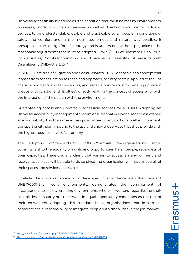Universal accessibility is defined as "the condition that must be met by environments, processes, goods, products and services, as well as objects or instruments, tools and devices, to be understandable, usable and practicable by all people in conditions of safety and comfort and in the most autonomous and natural way possible. It presupposes the "design for all" strategy and is understood without prejudice to the reasonable adjustments that must be adopted"(Law 51/2003, of December 2, on Equal Opportunities, Non-Discrimination and Universal Accessibility of Persons with Disabilities, LIONDAU, art. 2). 23

IMSERSO (Institute of Migration and Social Services, 2002), defines it as a concept that "comes from access, action to reach and approach, or entry or step. Applied to the use of space or objects and technologies, and especially in relation to certain population groups with functional difficulties", directly relating the concept of accessibility with the interaction of the person with the environment.

Guaranteeing access and universally accessible services for all users. Adopting an Universal Accessibility Management System ensures that everyone, regardless of their age or disability, has the same access possibilities to any part of a built environment, transport or city planning, and to the use and enjoy the services that they provide with the highest possible level of autonomy.

The adoption of Standard UNE  $170001-2^{24}$  entails the organisation's social commitment to the equality of rights and opportunities for all people, regardless of their capacities. Therefore, any client that wishes to access an environment and receive its services will be able to do so since the organisation will have made all of their spaces and services accessible.

Similarly, the universal accessibility developed in accordance with the Standard UNE 170001-2 for work environments, demonstrates the commitment of organisations to society, creating environments where all workers, regardless of their capabilities, can carry out their work in equal opportunity conditions as the rest of their co-workers. Adopting this standard helps organisations that implement corporate social responsibility to integrate people with disabilities in the job market.

<sup>23</sup> <https://www.boe.es/buscar/act.php?id=BOE-A-2003-22066>

<sup>24</sup> https://www.une.org/encuentra-tu-norma/busca-tu-norma/norma?c=N0040253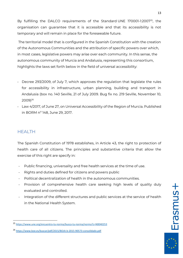By fulfilling the DALCO requirements of the Standard [UNE 170001-1:2007](https://www.en.aenor.com/Certificacion_Documentos/Reglamentos/EXT-UNE-17000-1-2007UZP2OBYZPVH10WDZ1NVR.pdf)<sup>25</sup>, the organisation can guarantee that it is accessible and that its accessibility is not temporary and will remain in place for the foreseeable future.

The territorial model that is configured in the Spanish Constitution with the creation of the Autonomous Communities and the attribution of specific powers over which, in most cases, legislative powers may arise over each community. In this sense, the autonomous community of Murcia and Andalusia, representing this consortium, highlights the laws set forth below in the field of universal accessibility:

- Decree 293/2009, of July 7, which approves the regulation that legislate the rules for accessibility in infrastructure, urban planning, building and transport in Andalusia (box no. 140 Seville, 21 of July 2009. Bug fix no. 219 Seville, November 10, 2009)<sup>26</sup>
- Law 4/2017, of June 27, on Universal Accessibility of the Region of Murcia. Published in BORM nº 148, June 29, 2017.

## HEALTH

The Spanish Constitution of 1978 establishes, in Article 43, the right to protection of health care of all citizens. The principles and substantive criteria that allow the exercise of this right are specify in:

- Public financing, universality and free health services at the time of use.
- Rights and duties defined for citizens and powers public
- Political decentralization of health in the autonomous communities.
- Provision of comprehensive health care seeking high levels of quality duly evaluated and controlled.
- Integration of the different structures and public services at the service of health in the National Health System.

**Erasmus+** 

<sup>25</sup> <https://www.une.org/encuentra-tu-norma/busca-tu-norma/norma?c=N0040253>

<sup>26</sup> <https://www.boe.es/buscar/pdf/2015/BOJA-b-2015-90573-consolidado.pdf>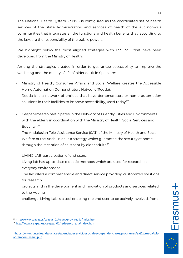The National Health System - SNS - is configured as the coordinated set of health services of the State Administration and services of health of the autonomous communities that integrates all the functions and health benefits that, according to the law, are the responsibility of the public powers.

We highlight below the most aligned strategies with ESSENSE that have been developed from the Ministry of Health:

Among the strategies created in order to guarantee accessibility to improve the wellbeing and the quality of life of older adult in Spain are:

- Ministry of Health, Consumer Affairs and Social Welfare creates the Accessible Home Automation Demonstrators Network (Redda). Redda It is a network of entities that have demonstrators or home automation solutions in their facilities to improve accessibility, used today.<sup>27</sup>
- Ceapat-Imserso participates in the Network of Friendly Cities and Environments with the elderly in coordination with the Ministry of Health, Social Services and Equality.<sup>28</sup>
- The Andalusian Tele-Assistance Service (SAT) of the Ministry of Health and Social Welfare of the Andalusian is a strategy which guarantee the security at home through the reception of calls sent by older adults.<sup>29</sup>
- LIVING LAB-participation of end users:
	- Living lab has up-to-date didactic methods which are used for research in everyday environment.
	- The lab offers a comprehensive and direct service providing customized solutions for research
	- projects and in the development and innovation of products and services related to the Ageing
	- challenge. Living Lab is a tool enabling the end user to be actively involved, from

<sup>&</sup>lt;sup>27</sup> [http://www.ceapat.es/ceapat\\_01/redes/proy\\_redda/index.htm](http://www.ceapat.es/ceapat_01/redes/proy_redda/index.htm)

<sup>&</sup>lt;sup>28</sup> [http://www.ceapat.es/ceapat\\_01/redes/eip\\_aha/index.htm](http://www.ceapat.es/ceapat_01/redes/eip_aha/index.htm)

<sup>29</sup>[https://www.juntadeandalucia.es/agenciadeserviciossocialesydependencia/es/programas/sat2/prueba/wfpr](https://www.juntadeandalucia.es/agenciadeserviciossocialesydependencia/es/programas/sat2/prueba/wfprogramitem_view_pub) [ogramitem\\_view\\_pub](https://www.juntadeandalucia.es/agenciadeserviciossocialesydependencia/es/programas/sat2/prueba/wfprogramitem_view_pub)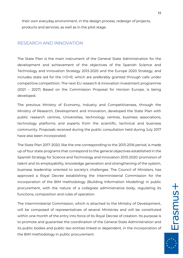their own everyday environment, in the design process, redesign of projects, products and services, as well as in the pilot stage.

### RESEARCH AND INNOVATION

The State Plan is the main instrument of the General State Administration for the development and achievement of the objectives of the Spanish Science and Technology and Innovation Strategy 2013-2020 and the Europe 2020 Strategy, and includes state aid for the I+D+R, which are preferably granted through calls under competitive competition. The next EU research & innovation investment programme (2021 – 2027) Based on the Commission Proposal for Horizon Europe, is being developed.

The previous Ministry of Economy, Industry and Competitiveness, through the Ministry of Research, Development and Innovation, developed the State Plan with public research centres, Universities, technology centres, business associations, technology platforms and experts from the scientific, technical and business community. Proposals received during the public consultation held during July 2017 have also been incorporated.

The State Plan 2017-2020, like the one corresponding to the 2013-2016 period, is made up of four state programs that correspond to the general objectives established in the Spanish Strategy for Science and Technology and Innovation 2013-2020: promotion of talent and its employability, knowledge generation and strengthening of the system, business leadership oriented to society's challenges. The Council of Ministers, has approved a Royal Decree establishing the Interministerial Commission for the incorporation of the BIM methodology (Building Information Modelling) in public procurement, with the nature of a collegiate administrative body, regulating its functions, composition and rules of operation.

The Interministerial Commission, which is attached to the Ministry of Development, will be composed of representatives of several Ministries and will be constituted within one month of the entry into force of its Royal Decree of creation. Its purpose is to promote and guarantee the coordination of the General State Administration and its public bodies and public law entities linked or dependent, in the incorporation of the BIM methodology in public procurement.

15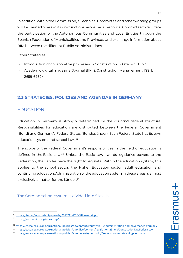In addition, within the Commission, a Technical Committee and other working groups will be created to assist it in its functions, as well as a Territorial Committee to facilitate the participation of the Autonomous Communities and Local Entities through the Spanish Federation of Municipalities and Provinces, and exchange information about BIM between the different Public Administrations.

#### Other Strategies

- Introduction of collaborative processes in Construction. 88 steps to BIM<sup>30</sup>
- Academic digital magazine 'Journal BIM & Construction Management' ISSN: 2659-6962.<sup>31</sup>

# **2.3 STRATEGIES, POLICIES AND AGENDAS IN GERMANY**

## EDUCATION

Education in Germany is strongly determined by the country's federal structure. Responsibilities for education are distributed between the Federal Government (Bund) and Germany's Federal States (Bundesländer). Each Federal State has its own education system and school laws.<sup>32</sup>

The scope of the Federal Government's responsibilities in the field of education is defined in the Basic Law<sup>33</sup>. Unless the Basic Law awards legislative powers to the Federation, the Länder have the right to legislate. Within the education system, this applies to the school sector, the Hgher Education sector, adult education and continuing education. Administration of the education system in these areas is almost exclusively a matter for the Länder.<sup>34</sup>

The German school system is divided into 5 levels:

<sup>30</sup> [https://itec.es/wp-content/uploads/2017/11/CCF-88Pasos\\_v2.pdf](https://itec.es/wp-content/uploads/2017/11/CCF-88Pasos_v2.pdf)

<sup>31</sup> <https://journalbim.org/index.php/jb>

<sup>32</sup> <https://eacea.ec.europa.eu/national-policies/en/content/youthwiki/62-administration-and-governance-germany>

<sup>33</sup> [https://eacea.ec.europa.eu/national-policies/eurydice/content/legislation-25\\_en#ConstitutionLawFederalLaw](https://eacea.ec.europa.eu/national-policies/eurydice/content/legislation-25_en#ConstitutionLawFederalLaw)

<sup>34</sup> <https://eacea.ec.europa.eu/national-policies/en/content/youthwiki/6-education-and-training-germany>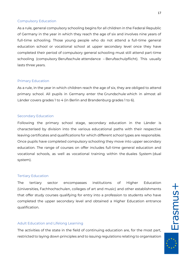#### Compulsory Education

As a rule, general compulsory schooling begins for all children in the Federal Republic of Germany in the year in which they reach the age of six and involves nine years of full-time schooling. Those young people who do not attend a full-time general education school or vocational school at upper secondary level once they have completed their period of compulsory general schooling must still attend part-time schooling (compulsory Berufsschule attendance – Berufsschulpflicht). This usually lasts three years.

#### Primary Education

As a rule, in the year in which children reach the age of six, they are obliged to attend primary school. All pupils in Germany enter the Grundschule which in almost all Länder covers grades 1 to 4 (in Berlin and Brandenburg grades 1 to 6).

#### Secondary Education

Following the primary school stage, secondary education in the Länder is characterised by division into the various educational paths with their respective leaving certificates and qualifications for which different school types are responsible. Once pupils have completed compulsory schooling they move into upper secondary education. The range of courses on offer includes full-time general education and vocational schools, as well as vocational training within the duales System (dual system).

#### Tertiary Education

The tertiary sector encompasses institutions of Higher Education (Universities, Fachhochschulen, colleges of art and music) and other establishments that offer study courses qualifying for entry into a profession to students who have completed the upper secondary level and obtained a Higher Education entrance qualification.

#### Adult Education and Lifelong Learning

The activities of the state in the field of continuing education are, for the most part, restricted to laying down principles and to issuing regulations relating to organisation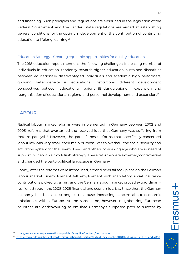and financing. Such principles and regulations are enshrined in the legislation of the Federal Government and the Länder. State regulations are aimed at establishing general conditions for the optimum development of the contribution of continuing education to lifelong learning.<sup>35</sup>

#### Education Strategy - Creating equitable opportunities for quality education

The 2018 education report mentions the following challenges: Increasing number of individuals in education, tendency towards higher education, sustained disparities between educationally disadvantaged individuals and academic high performers, growing heterogeneity in educational institutions, different development perspectives between educational regions (Bildungsregionen), expansion and reorganisation of educational regions, and personnel development and expansion.<sup>36</sup>

### **LABOUR**

Radical labour market reforms were implemented in Germany between 2002 and 2005, reforms that overturned the received idea that Germany was suffering from "reform paralysis". However, the part of these reforms that specifically concerned labour law was very small; their main purpose was to overhaul the social security and activation system for the unemployed and others of working age who are in need of support in line with a "work first" strategy. These reforms were extremely controversial and changed the party-political landscape in Germany.

Shortly after the reforms were introduced, a trend reversal took place on the German labour market: unemployment fell, employment with mandatory social insurance contributions picked up again, and the German labour market proved extraordinarily resilient through the 2008-2009 financial and economic crisis. Since then, the German economy has been so strong as to arouse increasing concern about economic imbalances within Europe. At the same time, however, neighbouring European countries are endeavouring to emulate Germany's supposed path to success by

<sup>35</sup> [https://eacea.ec.europa.eu/national-policies/eurydice/content/germany\\_en](https://eacea.ec.europa.eu/national-policies/eurydice/content/germany_en)

<sup>36</sup> <https://www.bildungsbericht.de/de/bildungsberichte-seit-2006/bildungsbericht-2018/bildung-in-deutschland-2018>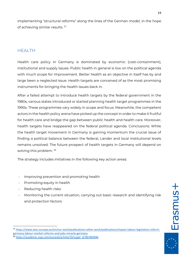implementing "structural reforms" along the lines of the German model, in the hope of achieving similar results. <sup>37</sup>

# HEALTH

Health care policy in Germany is dominated by economic (cost-containment), institutional and supply issues. Public health in general is low on the political agenda with much scope for improvement. Better health as an objective in itself has by and large been a neglected issue. Health targets are conceived of as the most promising instruments for bringing the health issues back in.

After a failed attempt to introduce health targets by the federal government in the 1980s, various states introduced or started planning health target programmes in the 1990s. These programmes vary widely in scope and focus. Meanwhile, the competent actors in the health policy arena have picked up the concept in order to make it fruitful for health care and bridge the gap between public health and health care. Moreover, health targets have reappeared on the federal political agenda. Conclusions: While the health target movement in Germany is gaining momentum the crucial issue of finding a political balance between the federal, Länder and local institutional levels remains unsolved. The future prospect of health targets in Germany will depend on solving this problem.<sup>38</sup>

The strategy includes initiatives in the following key action areas:

- Improving prevention and promoting health
- Promoting equity in health
- Reducing health risks
- Monitoring the current situation, carrying out basic research and identifying risk and protection factors

<sup>37</sup> [https://www.eesc.europa.eu/en/our-work/publications-other-work/publications/impact-labour-legislation-reform](https://www.eesc.europa.eu/en/our-work/publications-other-work/publications/impact-labour-legislation-reform-germany-labour-market-reforms-and-jobs-miracle-germany)[germany-labour-market-reforms-and-jobs-miracle-germany](https://www.eesc.europa.eu/en/our-work/publications-other-work/publications/impact-labour-legislation-reform-germany-labour-market-reforms-and-jobs-miracle-germany) 38 [https://academic.oup.com/eurpub/article/10/suppl\\_4/38/483946](https://academic.oup.com/eurpub/article/10/suppl_4/38/483946)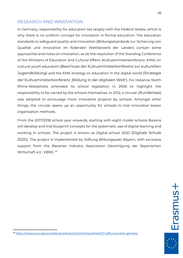### RESEARCH AND INNOVATION

In Germany, responsibility for education lies largely with the Federal States, which is why there is no uniform concept for innovation in formal education. The education standards to safeguard quality and innovation (Bildungsstandards zur Sicherung von Qualität und Innovation im föderalen Wettbewerb der Länder) contain some approaches and notes on innovation, as do the resolution of the Standing Conference of the Ministers of Education and Cultural Affairs (Kultusministerkonferenz, KMK) on cultural youth education [\(Beschluss der Kultusministerkonferenz zur kulturellen](http://www.kmk.org/fileadmin/Dateien/veroeffentlichungen_beschluesse/2007/2007_02_01-Empfehlung-Jugendbildung.pdf)  [Jugendbildung\)](http://www.kmk.org/fileadmin/Dateien/veroeffentlichungen_beschluesse/2007/2007_02_01-Empfehlung-Jugendbildung.pdf) and the KMK strategy on education in the digital world [\(Strategie](https://www.kmk.org/fileadmin/Dateien/pdf/PresseUndAktuelles/2017/Strategie_neu_2017_datum_1.pdf)  der Kultusministerkonferenz .Bildung in der digitalen Welt'). For instance, North Rhine-Westphalia amended its school legislation in 2006 to highlight the responsibility to be carried by the schools themselves. In 2012, a circular [\(Runderlass\)](https://bass.schul-welt.de/pdf/12450.pdf?20190612133201) was adopted to encourage more innovative projects by schools. Amongst other things, the circular opens up an opportunity for schools to trial innovative lesson organisation methods.

From the 2017/2018 school year onwards, starting with eight model schools Bavaria will develop and trial blueprint concepts for the systematic use of digital learning and working in schools. The project is known as Digital school 2020 [\(Digitale Schule](http://bildungspakt-bayern.de/digitale-schule-2020/)  [2020\)](http://bildungspakt-bayern.de/digitale-schule-2020/). The project is implemented by Stiftung Bildungspakt Bayern, with exclusive support from the Bavarian Industry Association (Vereinigung der Bayerischen Wirtschaft e.V., VBW). <sup>39</sup>

<sup>39</sup> <https://eacea.ec.europa.eu/national-policies/en/content/youthwiki/67-skills-innovation-germany>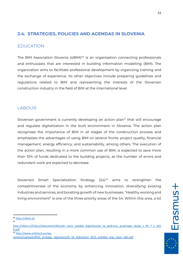# **2.4. STRATEGIES, POLICIES AND AGENDAS IN SLOVENIA**

### EDUCATION

The BIM Association Slovenia (siBIM)<sup>40</sup> is an organisation connecting professionals and enthusiasts that are interested in building information modelling (BIM). The organization aims to facilitate professional development by organizing training and the exchange of experience. Its other objectives include preparing guidelines and regulations related to BIM and representing the interests of the Slovenian construction industry in the field of BIM at the international level.

# LABOUR

Slovenian government is currently developing an action plan<sup>41</sup> that will encourage and regulate digitalization in the built environment in Slovenia. The action plan recognises the importance of BIM in all stages of the construction process and emphasises the advantages of using BIM on several fronts: project quality, financial management, energy efficiency, and sustainability, among others. The execution of the action plan, resulting in a more common use of BIM, is expected to save more than 10% of funds dedicated to the building projects, as the number of errors and redundant work are expected to decrease.

Slovenia's Smart Specialization Strategy (S4)<sup>42</sup> aims to strengthen the competitiveness of the economy by enhancing innovation, diversifying existing industries and services, and boosting growth of new businesses. "Healthy working and living environment" is one of the three priority areas of the S4. Within this area, a lot

<sup>42</sup> [http://www.onlines3.eu/wp-](http://www.onlines3.eu/wp-content/uploads/RIS3_strategy_repository/SI_S4_dokument_2015_october_eng_clean_lekt.pdf)

<sup>40</sup> http://sibim.si/

<sup>41</sup>

[http://sibim.si/f/docs/dokumenti/Akcijski\\_nacrt\\_uvedbe\\_digitalizacije\\_na\\_podrocju\\_grajenega\\_okolja\\_v\\_RS\\_7\\_5\\_201](http://sibim.si/f/docs/dokumenti/Akcijski_nacrt_uvedbe_digitalizacije_na_podrocju_grajenega_okolja_v_RS_7_5_2018.pdf) [8.pdf](http://sibim.si/f/docs/dokumenti/Akcijski_nacrt_uvedbe_digitalizacije_na_podrocju_grajenega_okolja_v_RS_7_5_2018.pdf)

[content/uploads/RIS3\\_strategy\\_repository/SI\\_S4\\_dokument\\_2015\\_october\\_eng\\_clean\\_lekt.pdf](http://www.onlines3.eu/wp-content/uploads/RIS3_strategy_repository/SI_S4_dokument_2015_october_eng_clean_lekt.pdf)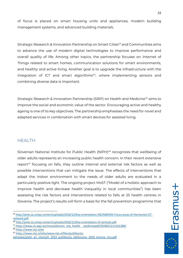of focus is placed on smart housing units and appliances, modern building management systems, and advanced building materials.

Strategic Research & Innovation Partnership on Smart Cities<sup>43</sup> and Communities aims to advance the use of modern digital technologies to improve performance and overall quality of life. Among other topics, the partnership focuses on Internet of Things related to smart homes, communication solutions for smart environments, and healthy and active living. Another goal is to upgrade the infrastructure with the integration of ICT and smart algorithms<sup>44</sup>, where implementing sensors and combining diverse data is important.

Strategic Research & Innovation Partnership (SRIP) on Health and Medicine<sup>45</sup> aims to improve the social and economic value of the sector. Encouraging active and healthy ageing is one of its key objectives. The partnership emphasises the need for novel and adapted services in combination with smart devices for assisted living.

## **HEALTH**

Slovenian National Institute for Public Health (NIPH)<sup>46</sup> recognizes that wellbeing of older adults represents an increasing public health concern. In their recent extensive report<sup>47</sup> focusing on falls, they outline internal and external risk factors as well as possible interventions that can mitigate the issue. The effects of interventions that adapt the indoor environment to the needs of older adults are evaluated in a particularly positive light. The ongoing project MoST ("Model of a holistic approach to improve health and decrease health inequality in local communities") has been assessing the risk factors and interventions related to falls at 25 health centres in Slovenia. The project's results will form a basis for the fall prevention programme that

22

<sup>43</sup> [http://pmis.ijs.si/wp-content/uploads/2016/12/Key-orientations-%E2%80%93-Focus-areas-of-Horizontal-ICT](http://pmis.ijs.si/wp-content/uploads/2016/12/Key-orientations-%E2%80%93-Focus-areas-of-Horizontal-ICT-network.pdf)[network.pdf](http://pmis.ijs.si/wp-content/uploads/2016/12/Key-orientations-%E2%80%93-Focus-areas-of-Horizontal-ICT-network.pdf)

<sup>44</sup> <http://pmis.ijs.si/wp-content/uploads/2016/12/Key-orientations-of-verticals.pdf>

<sup>45</sup> [https://www.sis-egiz.eu/mma/abstract\\_srip\\_health\\_\\_medicinepdf/2018021211241288/](https://www.sis-egiz.eu/mma/abstract_srip_health__medicinepdf/2018021211241288/)

<sup>46</sup> <https://www.nijz.si/en>

<sup>47</sup> [https://www.nijz.si/sites/www.nijz.si/files/publikacije-](https://www.nijz.si/sites/www.nijz.si/files/publikacije-datoteke/padci_pri_starejsih_2019_publikacija_oblikovano_2020_koncna_mrs.pdf)

datoteke/padci pri starejsih 2019 publikacija oblikovano 2020 koncna mrs.pdf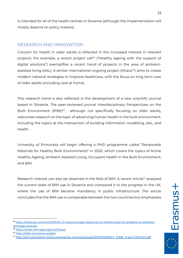is intended for all of the health centres in Slovenia (although the implementation will mostly depend on policy makers).

## RESEARCH AND INNOVATION

Concern for health in older adults is reflected in the increased interest in relevant projects. For example, a recent project call<sup>48</sup> ("Healthy ageing with the support of digital solutions") exemplifies a recent trend of projects in the area of ambientassisted living (AAL). A similar international ongoing project (Ithaca <sup>49</sup>) aims to create modern national strategies to improve healthcare, with the focus on long term care of older adults (including care at home).

This research trend is also reflected in the development of a new scientific journal based in Slovenia. The peer-reviewed journal Interdisciplinary Perspectives on the Built Environment (IPBE)<sup>50</sup>, although not specifically focusing on older adults, welcomes research on the topic of advancing human health in the built environment, including the topics at the intersection of building information modelling, AAL, and health.

University of Primorska will begin offering a PHD programme called "Renewable Materials for Healthy Built Environments" in 2020, which covers the topics of Active Healthy Ageing, Ambient Assisted Living, Occupant Health in the Built Environment, and BIM.

Research interest can also be observed in the field of BIM. A recent article<sup>51</sup> analysed the current state of BIM use in Slovenia and compared it to the progress in the UK, where the use of BIM became mandatory in public infrastructure. The article concludes that the BIM use is comparable between the two countries but emphasizes

<sup>48</sup> [https://www.gov.si/novice/2020-01-15-najava-javnega-razpisa-aal-za-sofinanciranje-ikt-projektov-na-podrocju](https://www.gov.si/novice/2020-01-15-najava-javnega-razpisa-aal-za-sofinanciranje-ikt-projektov-na-podrocju-aktivnega-staranja/)[aktivnega-staranja/](https://www.gov.si/novice/2020-01-15-najava-javnega-razpisa-aal-za-sofinanciranje-ikt-projektov-na-podrocju-aktivnega-staranja/)

<sup>49</sup> <https://www.interregeurope.eu/ithaca/>

<sup>50</sup> <https://ipbe.innorenew.eu/ipbe>

<sup>51</sup> [http://zpm.si/projektna-mreza-slovenije/wp-content/uploads/2019/04/KIRALY\\_STARE\\_8-april-2019-SLO.pdf](http://zpm.si/projektna-mreza-slovenije/wp-content/uploads/2019/04/KIRALY_STARE_8-april-2019-SLO.pdf)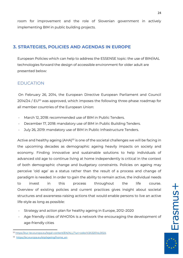room for improvement and the role of Slovenian government in actively implementing BIM in public building projects.

## **3. STRATEGIES, POLICIES AND AGENDAS IN EUROPE**

European Policies which can help to address the ESSENSE topic: the use of BIM/AAL technologies forward the design of accessible environment for older adult are presented below:

### EDUCATION

On February 26, 2014, the European Directive European Parliament and Council 2014/24 / EU<sup>52</sup> was approved, which imposes the following three-phase roadmap for all member countries of the European Union:

- March 12, 2018: recommended use of BIM in Public Tenders.
- December 17, 2018: mandatory use of BIM in Public Building Tenders.
- July 26, 2019: mandatory use of BIM in Public Infrastructure Tenders.

Active and healthy ageing (AHA)<sup>53</sup> is one of the societal challenges we will be facing in the upcoming decades as demographic ageing heavily impacts on society and economy. Finding innovative and sustainable solutions to help individuals of advanced old age to continue living at home independently is critical in the context of both demographic change and budgetary constraints. Policies on ageing may perceive 'old age' as a status rather than the result of a process and change of paradigm is needed. In order to gain the ability to remain active, the individual needs to invest in this process throughout the life course. Overview of existing policies and current practices gives insight about societal structures and awareness-raising actions that would enable persons to live an active life-style as long as possible:

- Strategy and action plan for healthy ageing in Europe, 2012-2020
- Age friendly cities of WHO104 is a network the encouraging the development of age-friendly cities

**Frasmas** 

<sup>52</sup> <https://eur-lex.europa.eu/legal-content/EN/ALL/?uri=celex%3A32014L0024>

<sup>53</sup> [https://ec.europa.eu/eip/ageing/home\\_en](https://ec.europa.eu/eip/ageing/home_en)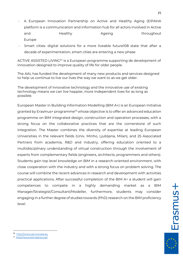- A European Innovation Partnership on Active and Healthy Aging (EIPAHA platform is a communication and information hub for all actors involved in Active and **Healthy Ageing** throughout Europe
- Smart cities: digital solutions for a more liveable future108 state that after a decade of experimentation, smart cities are entering a new phase

ACTIVE ASSISTED LIVING<sup>54</sup> is a European programme supporting de development of innovation designed to improve quality of life for older people.

The AAL has funded the development of many new products and services designed to help us continue to live our lives the way we want to as we get older.

The development of innovative technology and the innovative use of existing technology means we can live happier, more independent lives for as long as possible.

European Master in Building Information Modelling (BIM A+) is an European Initiative granted by Erasmus+ programme<sup>55</sup> whose objective is to offer an advanced education programme on BIM integrated design, construction and operation processes, with a strong focus on the collaborative practices that are the cornerstone of such integration. The Master combines the diversity of expertise at leading European Universities in the relevant fields (Univ. Minho, Ljubljana, Milan), and 25 Associated Partners from academia, R&D and industry, offering education oriented to a multidisciplinary understanding of virtual construction through the involvement of experts from complementary fields (engineers, architects, programmers and others). Students gain top level knowledge on BIM in a research-oriented environment, with close cooperation with the industry and with a strong focus on problem solving. The course will combine the recent advances in research and development with activities practical applications. After successful completion of the BIM A+ a student will gain competences to compete in a highly demanding market as a BIM Manager/Strategist/Consultant/Modeller, furthermore, students may consider engaging in a further degree of studies towards (PhD) research on the BIM proficiency level.

<sup>54</sup> [http://www.aal-europe.eu](http://www.aal-europe.eu/)

<sup>55</sup> <http://www.bimaplus.org/>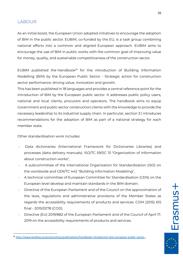### LABOUR

As an initial boost, the European Union adopted initiatives to encourage the adoption of BIM in the public sector. [EUBIM,](http://www.eubim.eu/) co-funded by the EU, is a task group combining national efforts into a common and aligned European approach. EUBIM aims to encourage the use of BIM in public works with the common goal of improving value for money, quality, and sustainable competitiveness of the construction sector.

EUBIM published the Handbook<sup>56</sup> for the introduction of Building Information Modelling (BIM) by the European Public Sector - Strategic action for construction sector performance: driving value, innovation and growth.

This has been published in 18 languages and provides a central reference point for the introduction of BIM by the European public sector. It addresses public policy users, national and local clients, procurers and operators. The handbook aims to equip Government and public sector construction clients with the knowledge to provide the necessary leadership to its industrial supply chain. In particular, section 3.1 introduces recommendations for the adoption of BIM as part of a national strategy for each member state.

Other standardisation work includes:

- Data dictionaries (International Framework for Dictionaries Libraries) and processes (data delivery manuals). ISO/TC 59/SC 13 "Organization of information about construction works",
- A subcommittee of the International Organization for Standardization (ISO) on the worldwide and CEN/TC 442 "Building Information Modelling",
- A technical committee of European Committee for Standardisation (CEN) on the European level develop and maintain standards in the BIM domain.
- Directive of the European Parliament and of the Council on the approximation of the laws, regulations and administrative provisions of the Member States as regards the accessibility requirements of products and services. COM (2015) 615 final - 2015/0278 (COD).
- Directive (EU) 2019/882 of the European Parliament and of the Council of April 17, 2019 on the accessibility requirements of products and services.

**Erasmus+** 

<sup>56</sup> [http://www.buildup.eu/en/practices/publications/handbook-introduction-bim-european-public-sector-.](http://www.buildup.eu/en/practices/publications/handbook-introduction-bim-european-public-sector-)